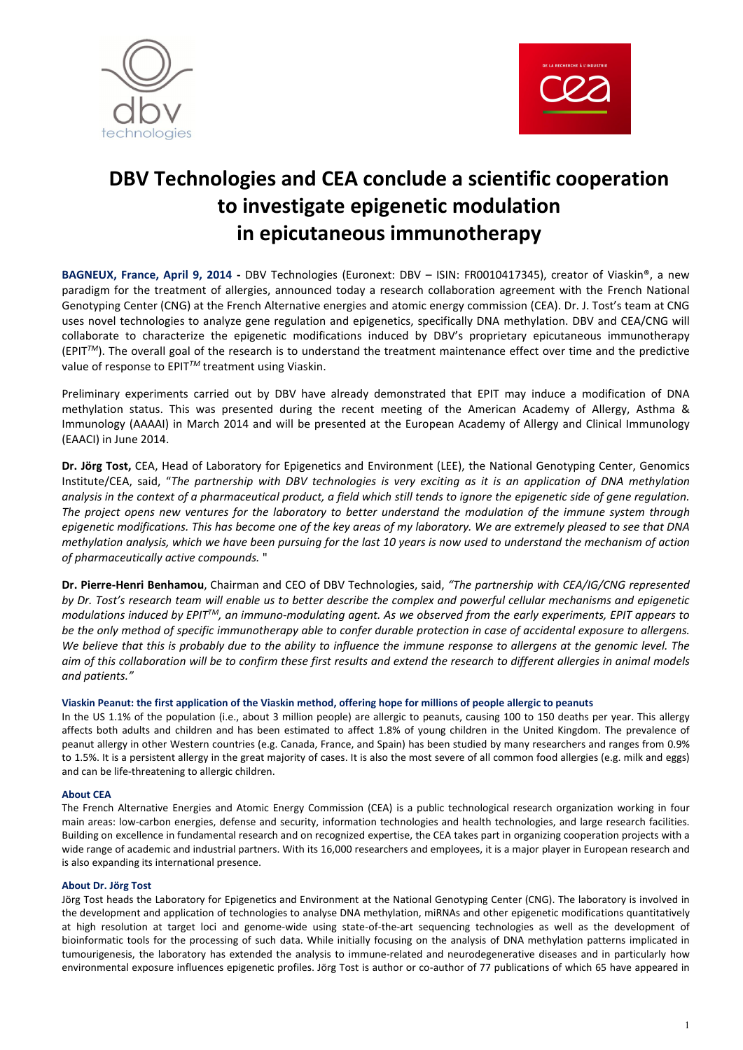



# DBV Technologies and CEA conclude a scientific cooperation to investigate epigenetic modulation in epicutaneous immunotherapy

BAGNEUX, France, April 9, 2014 - DBV Technologies (Euronext: DBV – ISIN: FR0010417345), creator of Viaskin®, a new paradigm for the treatment of allergies, announced today a research collaboration agreement with the French National Genotyping Center (CNG) at the French Alternative energies and atomic energy commission (CEA). Dr. J. Tost's team at CNG uses novel technologies to analyze gene regulation and epigenetics, specifically DNA methylation. DBV and CEA/CNG will collaborate to characterize the epigenetic modifications induced by DBV's proprietary epicutaneous immunotherapy (EPIT*TM*). The overall goal of the research is to understand the treatment maintenance effect over time and the predictive value of response to EPIT*TM* treatment using Viaskin.

Preliminary experiments carried out by DBV have already demonstrated that EPIT may induce a modification of DNA methylation status. This was presented during the recent meeting of the American Academy of Allergy, Asthma & Immunology (AAAAI) in March 2014 and will be presented at the European Academy of Allergy and Clinical Immunology (EAACI) in June 2014.

Dr. Jörg Tost, CEA, Head of Laboratory for Epigenetics and Environment (LEE), the National Genotyping Center, Genomics Institute/CEA, said, "*The partnership with DBV technologies is very exciting as it is an application of DNA methylation analysis in the context of a pharmaceutical product, a field which still tends to ignore the epigenetic side of gene regulation. The project opens new ventures for the laboratory to better understand the modulation of the immune system through epigenetic modifications. This has become one of the key areas of my laboratory. We are extremely pleased to see that DNA methylation analysis, which we have been pursuing for the last 10 years is now used to understand the mechanism of action of pharmaceutically active compounds.* "

Dr. Pierre-Henri Benhamou, Chairman and CEO of DBV Technologies, said, *"The partnership with CEA/IG/CNG represented by Dr. Tost's research team will enable us to better describe the complex and powerful cellular mechanisms and epigenetic modulations induced by EPITTM, an immuno-modulating agent. As we observed from the early experiments, EPIT appears to be the only method of specific immunotherapy able to confer durable protection in case of accidental exposure to allergens. We believe that this is probably due to the ability to influence the immune response to allergens at the genomic level. The aim of this collaboration will be to confirm these first results and extend the research to different allergies in animal models and patients."*

# Viaskin Peanut: the first application of the Viaskin method, offering hope for millions of people allergic to peanuts

In the US 1.1% of the population (i.e., about 3 million people) are allergic to peanuts, causing 100 to 150 deaths per year. This allergy affects both adults and children and has been estimated to affect 1.8% of young children in the United Kingdom. The prevalence of peanut allergy in other Western countries (e.g. Canada, France, and Spain) has been studied by many researchers and ranges from 0.9% to 1.5%. It is a persistent allergy in the great majority of cases. It is also the most severe of all common food allergies (e.g. milk and eggs) and can be life-threatening to allergic children.

# About CEA

The French Alternative Energies and Atomic Energy Commission (CEA) is a public technological research organization working in four main areas: low-carbon energies, defense and security, information technologies and health technologies, and large research facilities. Building on excellence in fundamental research and on recognized expertise, the CEA takes part in organizing cooperation projects with a wide range of academic and industrial partners. With its 16,000 researchers and employees, it is a major player in European research and is also expanding its international presence.

# About Dr. Jörg Tost

Jörg Tost heads the Laboratory for Epigenetics and Environment at the National Genotyping Center (CNG). The laboratory is involved in the development and application of technologies to analyse DNA methylation, miRNAs and other epigenetic modifications quantitatively at high resolution at target loci and genome-wide using state-of-the-art sequencing technologies as well as the development of bioinformatic tools for the processing of such data. While initially focusing on the analysis of DNA methylation patterns implicated in tumourigenesis, the laboratory has extended the analysis to immune-related and neurodegenerative diseases and in particularly how environmental exposure influences epigenetic profiles. Jörg Tost is author or co-author of 77 publications of which 65 have appeared in